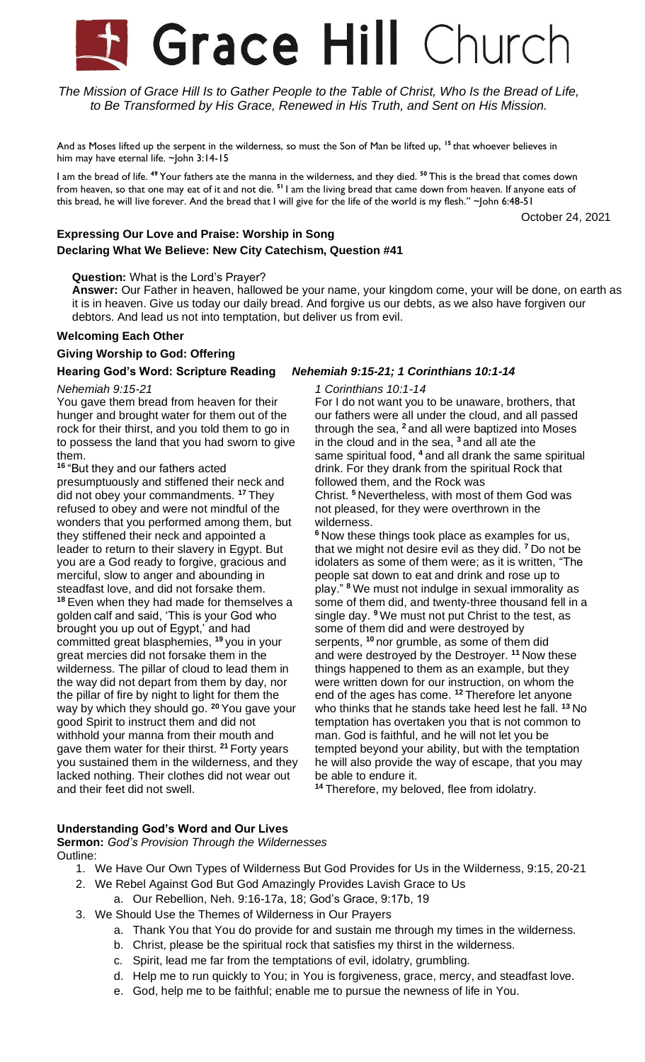# **Grace Hill Church**

The Mission of Grace Hill Is to Gather People to the Table of Christ, Who Is the Bread of Life, *to Be Transformed by His Grace, Renewed in His Truth, and Sent on His Mission.*

And as Moses lifted up the serpent in the wilderness, so must the Son of Man be lifted up, **<sup>15</sup>** that whoever believes in him may have eternal life. ~John 3:14-15

I am the bread of life. **<sup>49</sup>** Your fathers ate the manna in the wilderness, and they died. **<sup>50</sup>** This is the bread that comes down from heaven, so that one may eat of it and not die. **<sup>51</sup>** I am the living bread that came down from heaven. If anyone eats of this bread, he will live forever. And the bread that I will give for the life of the world is my flesh." ~John 6:48-51

October 24, 2021

# **Expressing Our Love and Praise: Worship in Song Declaring What We Believe: New City Catechism, Question #41**

#### **Question:** What is the Lord's Prayer?

**Answer:** Our Father in heaven, hallowed be your name, your kingdom come, your will be done, on earth as it is in heaven. Give us today our daily bread. And forgive us our debts, as we also have forgiven our debtors. And lead us not into temptation, but deliver us from evil.

### **Welcoming Each Other**

### **Giving Worship to God: Offering**

# **Hearing God's Word: Scripture Reading** *Nehemiah 9:15-21; 1 Corinthians 10:1-14*

#### *Nehemiah 9:15-21*

You gave them bread from heaven for their hunger and brought water for them out of the rock for their thirst, and you told them to go in to possess the land that you had sworn to give them.

**<sup>16</sup>** "But they and our fathers acted presumptuously and stiffened their neck and did not obey your commandments. **<sup>17</sup>** They refused to obey and were not mindful of the wonders that you performed among them, but they stiffened their neck and appointed a leader to return to their slavery in Egypt. But you are a God ready to forgive, gracious and merciful, slow to anger and abounding in steadfast love, and did not forsake them. **<sup>18</sup>** Even when they had made for themselves a golden calf and said, 'This is your God who brought you up out of Egypt,' and had committed great blasphemies, **<sup>19</sup>** you in your great mercies did not forsake them in the wilderness. The pillar of cloud to lead them in the way did not depart from them by day, nor the pillar of fire by night to light for them the way by which they should go. **<sup>20</sup>** You gave your good Spirit to instruct them and did not withhold your manna from their mouth and gave them water for their thirst. **<sup>21</sup>** Forty years you sustained them in the wilderness, and they lacked nothing. Their clothes did not wear out and their feet did not swell.

#### *1 Corinthians 10:1-14*

For I do not want you to be unaware, brothers, that our fathers were all under the cloud, and all passed through the sea, **<sup>2</sup>** and all were baptized into Moses in the cloud and in the sea, **<sup>3</sup>** and all ate the same spiritual food, **<sup>4</sup>** and all drank the same spiritual drink. For they drank from the spiritual Rock that followed them, and the Rock was Christ. **<sup>5</sup>** Nevertheless, with most of them God was not pleased, for they were overthrown in the

wilderness. **<sup>6</sup>** Now these things took place as examples for us, that we might not desire evil as they did. **<sup>7</sup>** Do not be idolaters as some of them were; as it is written, "The people sat down to eat and drink and rose up to play." **<sup>8</sup>** We must not indulge in sexual immorality as some of them did, and twenty-three thousand fell in a single day. **<sup>9</sup>** We must not put Christ to the test, as some of them did and were destroyed by serpents, **<sup>10</sup>** nor grumble, as some of them did and were destroyed by the Destroyer. **<sup>11</sup>** Now these things happened to them as an example, but they were written down for our instruction, on whom the end of the ages has come. **<sup>12</sup>** Therefore let anyone who thinks that he stands take heed lest he fall. **<sup>13</sup>** No temptation has overtaken you that is not common to man. God is faithful, and he will not let you be tempted beyond your ability, but with the temptation he will also provide the way of escape, that you may be able to endure it.

**<sup>14</sup>** Therefore, my beloved, flee from idolatry.

## **Understanding God's Word and Our Lives**

#### **Sermon:** *God's Provision Through the Wildernesses* Outline:

- 1. We Have Our Own Types of Wilderness But God Provides for Us in the Wilderness, 9:15, 20-21
- 2. We Rebel Against God But God Amazingly Provides Lavish Grace to Us
	- a. Our Rebellion, Neh. 9:16-17a, 18; God's Grace, 9:17b, 19
- 3. We Should Use the Themes of Wilderness in Our Prayers
	- a. Thank You that You do provide for and sustain me through my times in the wilderness.
	- b. Christ, please be the spiritual rock that satisfies my thirst in the wilderness.
	- c. Spirit, lead me far from the temptations of evil, idolatry, grumbling.
	- d. Help me to run quickly to You; in You is forgiveness, grace, mercy, and steadfast love.
	- e. God, help me to be faithful; enable me to pursue the newness of life in You.